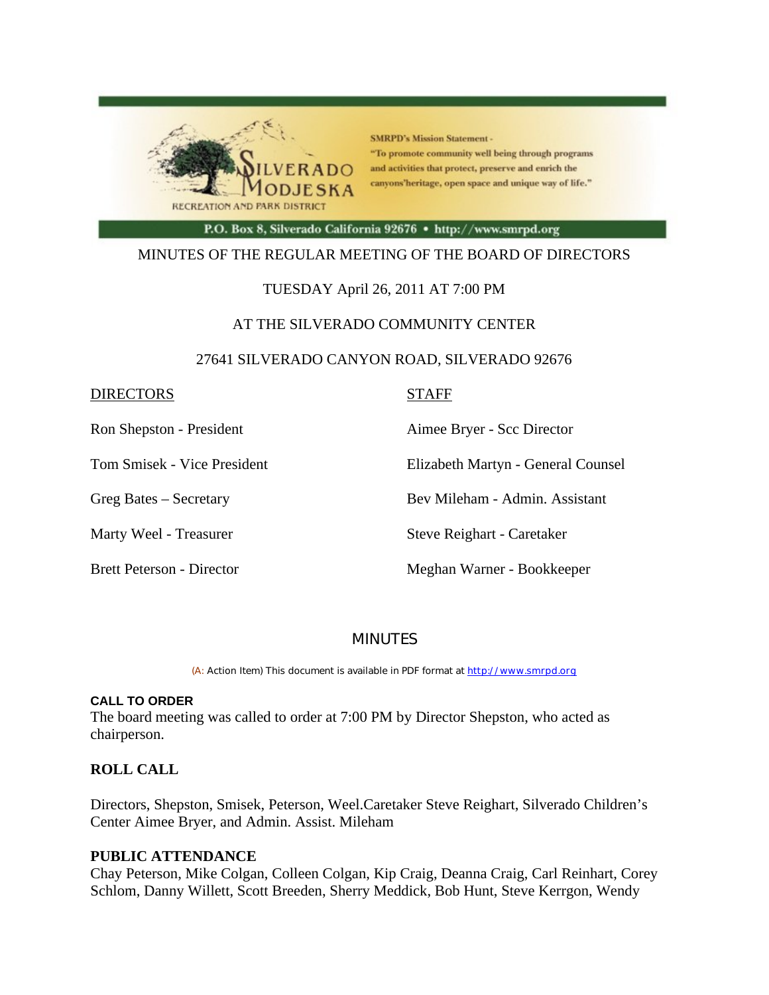

**SMRPD's Mission Statement -**"To promote community well being through programs and activities that protect, preserve and enrich the canyons'heritage, open space and unique way of life."

P.O. Box 8, Silverado California 92676 · http://www.smrpd.org

# MINUTES OF THE REGULAR MEETING OF THE BOARD OF DIRECTORS

# TUESDAY April 26, 2011 AT 7:00 PM

# AT THE SILVERADO COMMUNITY CENTER

# 27641 SILVERADO CANYON ROAD, SILVERADO 92676

| <b>DIRECTORS</b> |  | <b>STAFF</b> |
|------------------|--|--------------|
|                  |  |              |

Ron Shepston - President Aimee Bryer - Scc Director

Tom Smisek - Vice President Elizabeth Martyn - General Counsel

Greg Bates – Secretary Bev Mileham - Admin. Assistant

Marty Weel - Treasurer Steve Reighart - Caretaker

Brett Peterson - Director Meghan Warner - Bookkeeper

# MINUTES

(A: Action Item) This document is available in PDF format at http://www.smrpd.org

## **CALL TO ORDER**

The board meeting was called to order at 7:00 PM by Director Shepston, who acted as chairperson.

# **ROLL CALL**

Directors, Shepston, Smisek, Peterson, Weel.Caretaker Steve Reighart, Silverado Children's Center Aimee Bryer, and Admin. Assist. Mileham

## **PUBLIC ATTENDANCE**

Chay Peterson, Mike Colgan, Colleen Colgan, Kip Craig, Deanna Craig, Carl Reinhart, Corey Schlom, Danny Willett, Scott Breeden, Sherry Meddick, Bob Hunt, Steve Kerrgon, Wendy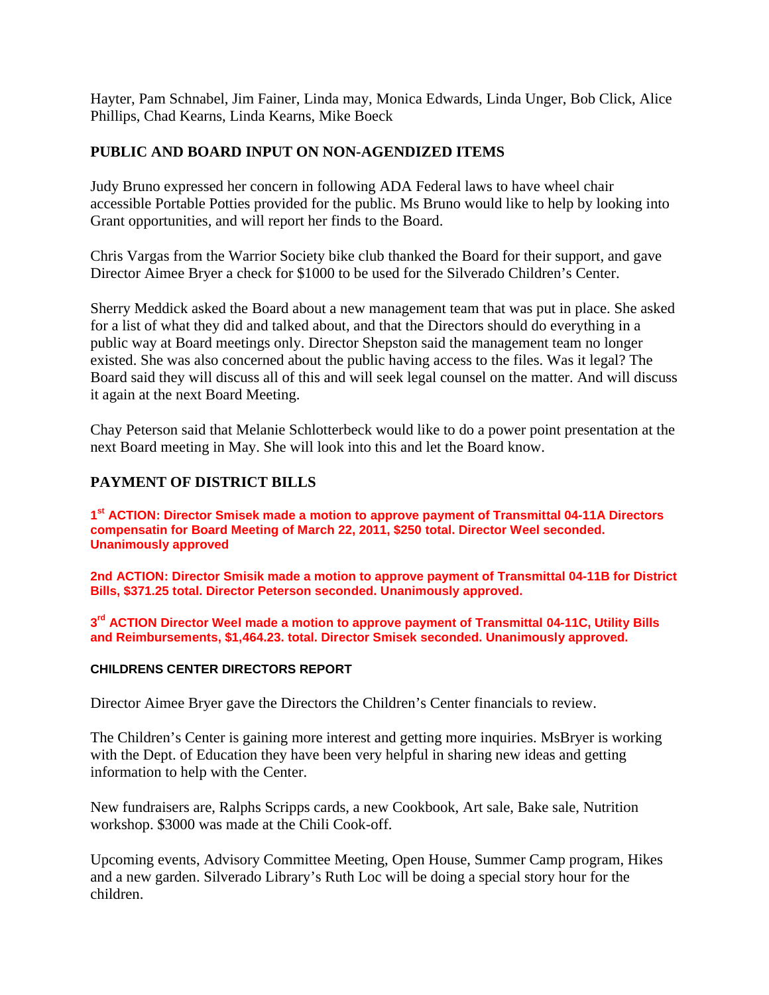Hayter, Pam Schnabel, Jim Fainer, Linda may, Monica Edwards, Linda Unger, Bob Click, Alice Phillips, Chad Kearns, Linda Kearns, Mike Boeck

# **PUBLIC AND BOARD INPUT ON NON-AGENDIZED ITEMS**

Judy Bruno expressed her concern in following ADA Federal laws to have wheel chair accessible Portable Potties provided for the public. Ms Bruno would like to help by looking into Grant opportunities, and will report her finds to the Board.

Chris Vargas from the Warrior Society bike club thanked the Board for their support, and gave Director Aimee Bryer a check for \$1000 to be used for the Silverado Children's Center.

Sherry Meddick asked the Board about a new management team that was put in place. She asked for a list of what they did and talked about, and that the Directors should do everything in a public way at Board meetings only. Director Shepston said the management team no longer existed. She was also concerned about the public having access to the files. Was it legal? The Board said they will discuss all of this and will seek legal counsel on the matter. And will discuss it again at the next Board Meeting.

Chay Peterson said that Melanie Schlotterbeck would like to do a power point presentation at the next Board meeting in May. She will look into this and let the Board know.

# **PAYMENT OF DISTRICT BILLS**

**1st ACTION: Director Smisek made a motion to approve payment of Transmittal 04-11A Directors compensatin for Board Meeting of March 22, 2011, \$250 total. Director Weel seconded. Unanimously approved**

**2nd ACTION: Director Smisik made a motion to approve payment of Transmittal 04-11B for District Bills, \$371.25 total. Director Peterson seconded. Unanimously approved.**

**3rd ACTION Director Weel made a motion to approve payment of Transmittal 04-11C, Utility Bills and Reimbursements, \$1,464.23. total. Director Smisek seconded. Unanimously approved.**

## **CHILDRENS CENTER DIRECTORS REPORT**

Director Aimee Bryer gave the Directors the Children's Center financials to review.

The Children's Center is gaining more interest and getting more inquiries. MsBryer is working with the Dept. of Education they have been very helpful in sharing new ideas and getting information to help with the Center.

New fundraisers are, Ralphs Scripps cards, a new Cookbook, Art sale, Bake sale, Nutrition workshop. \$3000 was made at the Chili Cook-off.

Upcoming events, Advisory Committee Meeting, Open House, Summer Camp program, Hikes and a new garden. Silverado Library's Ruth Loc will be doing a special story hour for the children.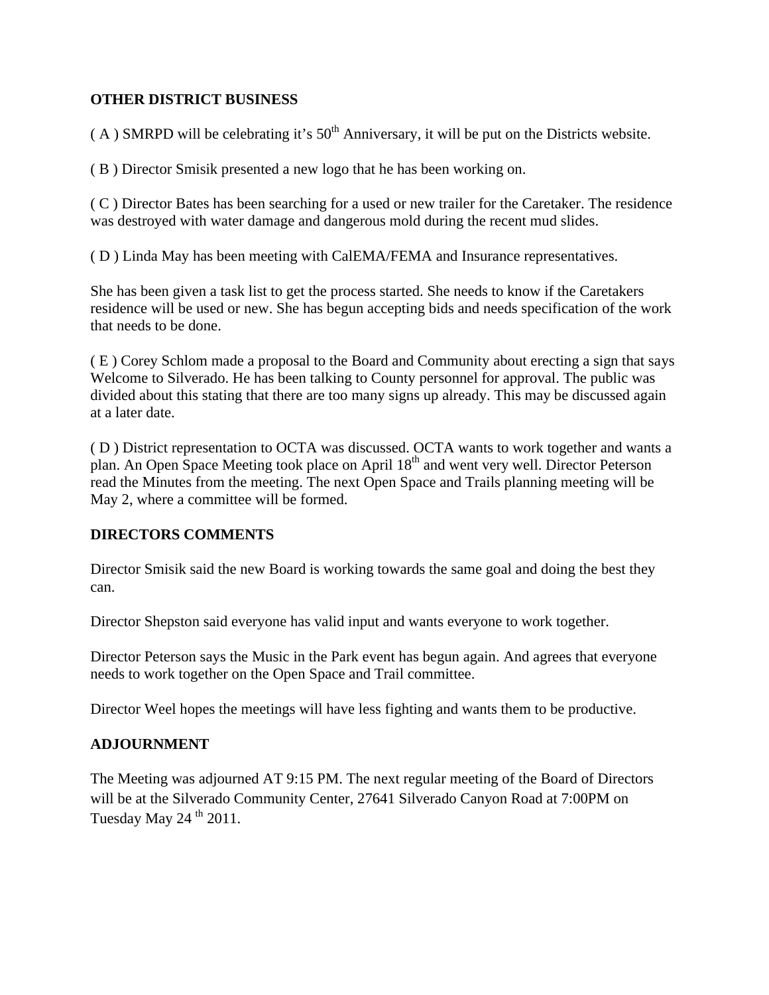# **OTHER DISTRICT BUSINESS**

 $(A)$  SMRPD will be celebrating it's  $50<sup>th</sup>$  Anniversary, it will be put on the Districts website.

( B ) Director Smisik presented a new logo that he has been working on.

( C ) Director Bates has been searching for a used or new trailer for the Caretaker. The residence was destroyed with water damage and dangerous mold during the recent mud slides.

( D ) Linda May has been meeting with CalEMA/FEMA and Insurance representatives.

She has been given a task list to get the process started. She needs to know if the Caretakers residence will be used or new. She has begun accepting bids and needs specification of the work that needs to be done.

( E ) Corey Schlom made a proposal to the Board and Community about erecting a sign that says Welcome to Silverado. He has been talking to County personnel for approval. The public was divided about this stating that there are too many signs up already. This may be discussed again at a later date.

( D ) District representation to OCTA was discussed. OCTA wants to work together and wants a plan. An Open Space Meeting took place on April 18th and went very well. Director Peterson read the Minutes from the meeting. The next Open Space and Trails planning meeting will be May 2, where a committee will be formed.

# **DIRECTORS COMMENTS**

Director Smisik said the new Board is working towards the same goal and doing the best they can.

Director Shepston said everyone has valid input and wants everyone to work together.

Director Peterson says the Music in the Park event has begun again. And agrees that everyone needs to work together on the Open Space and Trail committee.

Director Weel hopes the meetings will have less fighting and wants them to be productive.

# **ADJOURNMENT**

The Meeting was adjourned AT 9:15 PM. The next regular meeting of the Board of Directors will be at the Silverado Community Center, 27641 Silverado Canyon Road at 7:00PM on Tuesday May  $24^{th}$  2011.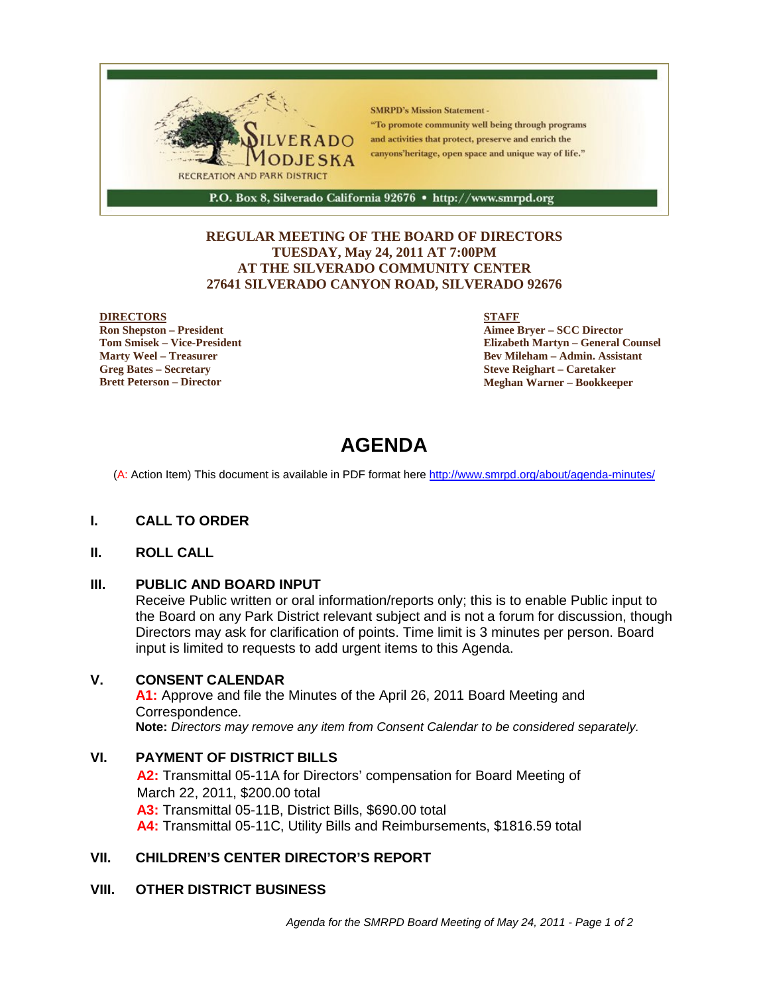

## **REGULAR MEETING OF THE BOARD OF DIRECTORS TUESDAY, May 24, 2011 AT 7:00PM AT THE SILVERADO COMMUNITY CENTER 27641 SILVERADO CANYON ROAD, SILVERADO 92676**

#### **DIRECTORS**

**Ron Shepston – President Tom Smisek – Vice-President Marty Weel – Treasurer Greg Bates – Secretary Brett Peterson – Director**

#### **STAFF**

**Aimee Bryer – SCC Director Elizabeth Martyn – General Counsel Bev Mileham – Admin. Assistant Steve Reighart – Caretaker Meghan Warner – Bookkeeper**

# **AGENDA**

(A: Action Item) This document is available in PDF format here http://www.smrpd.org/about/agenda-minutes/

## **I. CALL TO ORDER**

## **II. ROLL CALL**

## **III. PUBLIC AND BOARD INPUT**

Receive Public written or oral information/reports only; this is to enable Public input to the Board on any Park District relevant subject and is not a forum for discussion, though Directors may ask for clarification of points. Time limit is 3 minutes per person. Board input is limited to requests to add urgent items to this Agenda.

## **V. CONSENT CALENDAR**

**A1:** Approve and file the Minutes of the April 26, 2011 Board Meeting and Correspondence. **Note:** *Directors may remove any item from Consent Calendar to be considered separately.*

# **VI. PAYMENT OF DISTRICT BILLS**

**A2:** Transmittal 05-11A for Directors' compensation for Board Meeting of March 22, 2011, \$200.00 total **A3:** Transmittal 05-11B, District Bills, \$690.00 total **A4:** Transmittal 05-11C, Utility Bills and Reimbursements, \$1816.59 total

# **VII. CHILDREN'S CENTER DIRECTOR'S REPORT**

## **VIII. OTHER DISTRICT BUSINESS**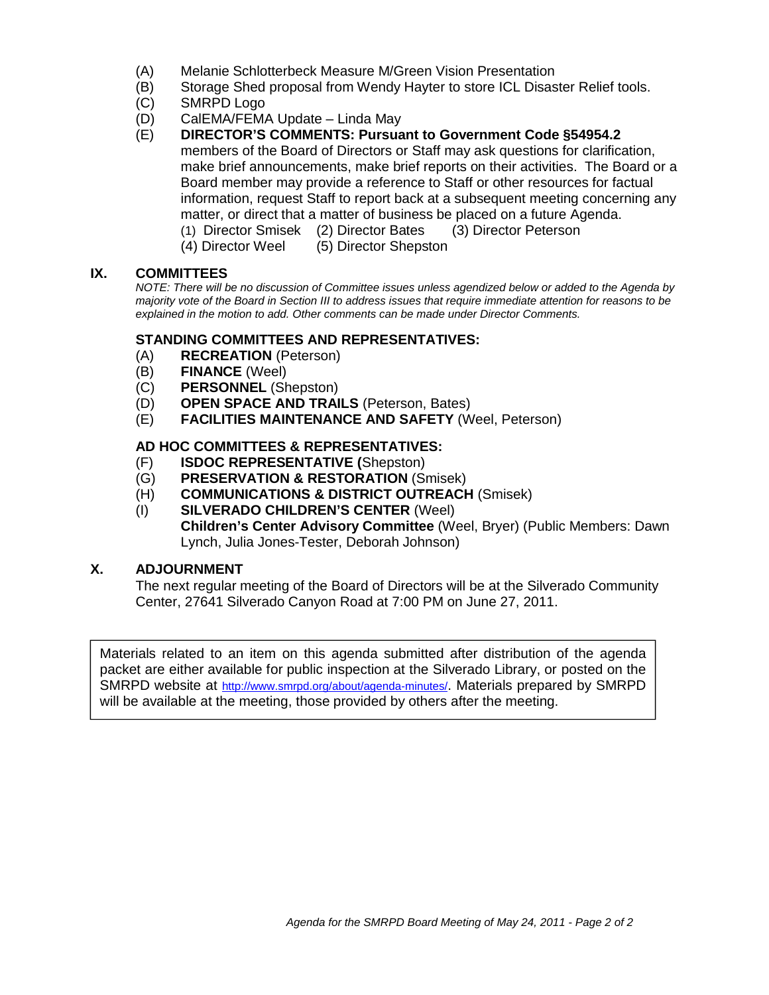- (A) Melanie Schlotterbeck Measure M/Green Vision Presentation
- (B) Storage Shed proposal from Wendy Hayter to store ICL Disaster Relief tools.
- (C) SMRPD Logo
- (D) CalEMA/FEMA Update Linda May
- (E) **DIRECTOR'S COMMENTS: Pursuant to Government Code §54954.2** members of the Board of Directors or Staff may ask questions for clarification, make brief announcements, make brief reports on their activities. The Board or a Board member may provide a reference to Staff or other resources for factual information, request Staff to report back at a subsequent meeting concerning any matter, or direct that a matter of business be placed on a future Agenda. (1) Director Smisek (2) Director Bates (3) Director Peterson
	- (4) Director Weel (5) Director Shepston

# **IX. COMMITTEES**

*NOTE: There will be no discussion of Committee issues unless agendized below or added to the Agenda by majority vote of the Board in Section III to address issues that require immediate attention for reasons to be explained in the motion to add. Other comments can be made under Director Comments.*

# **STANDING COMMITTEES AND REPRESENTATIVES:**

- (A) **RECREATION** (Peterson)
- (B) **FINANCE** (Weel)
- (C) **PERSONNEL** (Shepston)
- (D) **OPEN SPACE AND TRAILS** (Peterson, Bates)
- (E) **FACILITIES MAINTENANCE AND SAFETY** (Weel, Peterson)

# **AD HOC COMMITTEES & REPRESENTATIVES:**

- (F) **ISDOC REPRESENTATIVE (**Shepston)
- (G) **PRESERVATION & RESTORATION** (Smisek)
- (H) **COMMUNICATIONS & DISTRICT OUTREACH** (Smisek)
- (I) **SILVERADO CHILDREN'S CENTER** (Weel) **Children's Center Advisory Committee** (Weel, Bryer) (Public Members: Dawn Lynch, Julia Jones-Tester, Deborah Johnson)

# **X. ADJOURNMENT**

The next regular meeting of the Board of Directors will be at the Silverado Community Center, 27641 Silverado Canyon Road at 7:00 PM on June 27, 2011.

Materials related to an item on this agenda submitted after distribution of the agenda packet are either available for public inspection at the Silverado Library, or posted on the SMRPD website at http://www.smrpd.org/about/agenda-minutes/. Materials prepared by SMRPD will be available at the meeting, those provided by others after the meeting.